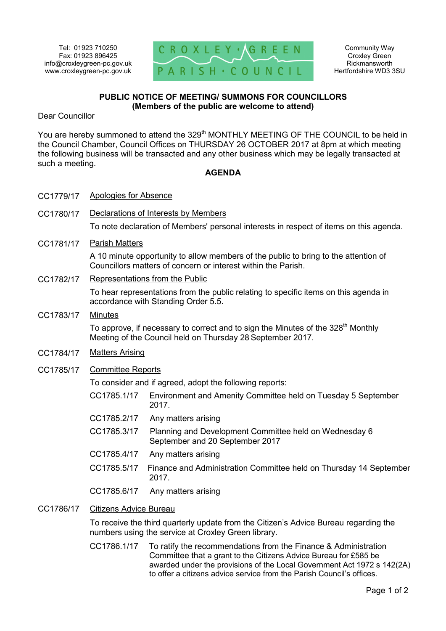

Community Way Croxley Green Rickmansworth Hertfordshire WD3 3SU

## **PUBLIC NOTICE OF MEETING/ SUMMONS FOR COUNCILLORS (Members of the public are welcome to attend)**

Dear Councillor

You are hereby summoned to attend the 329<sup>th</sup> MONTHLY MEETING OF THE COUNCIL to be held in the Council Chamber, Council Offices on THURSDAY 26 OCTOBER 2017 at 8pm at which meeting the following business will be transacted and any other business which may be legally transacted at such a meeting.

## **AGENDA**

- CC1779/17 Apologies for Absence
- CC1780/17 Declarations of Interests by Members

To note declaration of Members' personal interests in respect of items on this agenda.

CC1781/17 Parish Matters

A 10 minute opportunity to allow members of the public to bring to the attention of Councillors matters of concern or interest within the Parish.

CC1782/17 Representations from the Public

To hear representations from the public relating to specific items on this agenda in accordance with Standing Order 5.5.

CC1783/17 Minutes

To approve, if necessary to correct and to sign the Minutes of the  $328<sup>th</sup>$  Monthly Meeting of the Council held on Thursday 28 September 2017.

- CC1784/17 Matters Arising
- CC1785/17 Committee Reports

To consider and if agreed, adopt the following reports:

- CC1785.1/17 Environment and Amenity Committee held on Tuesday 5 September 2017.
- CC1785.2/17 Any matters arising
- CC1785.3/17 Planning and Development Committee held on Wednesday 6 September and 20 September 2017
- CC1785.4/17 Any matters arising
- CC1785.5/17 Finance and Administration Committee held on Thursday 14 September 2017.
- CC1785.6/17 Any matters arising
- CC1786/17 Citizens Advice Bureau

To receive the third quarterly update from the Citizen's Advice Bureau regarding the numbers using the service at Croxley Green library.

CC1786.1/17 To ratify the recommendations from the Finance & Administration Committee that a grant to the Citizens Advice Bureau for £585 be awarded under the provisions of the Local Government Act 1972 s 142(2A) to offer a citizens advice service from the Parish Council's offices.